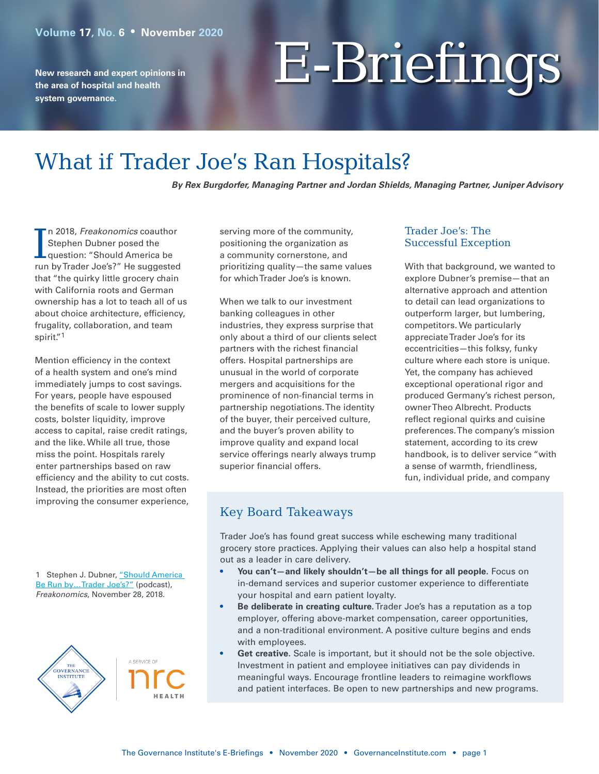**New research and expert opinions in the area of hospital and health system governance.**

# E-Briefings

## What if Trader Joe's Ran Hospitals?

*By Rex Burgdorfer, Managing Partner and Jordan Shields, Managing Partner, Juniper Advisory*

In 2018, Freakonomics coauthol<br>Stephen Dubner posed the<br>question: "Should America be n 2018, *Freakonomics* coauthor Stephen Dubner posed the run by Trader Joe's?" He suggested that "the quirky little grocery chain with California roots and German ownership has a lot to teach all of us about choice architecture, efficiency, frugality, collaboration, and team spirit."1

Mention efficiency in the context of a health system and one's mind immediately jumps to cost savings. For years, people have espoused the benefits of scale to lower supply costs, bolster liquidity, improve access to capital, raise credit ratings, and the like. While all true, those miss the point. Hospitals rarely enter partnerships based on raw efficiency and the ability to cut costs. Instead, the priorities are most often improving the consumer experience, serving more of the community, positioning the organization as a community cornerstone, and prioritizing quality—the same values for which Trader Joe's is known.

When we talk to our investment banking colleagues in other industries, they express surprise that only about a third of our clients select partners with the richest financial offers. Hospital partnerships are unusual in the world of corporate mergers and acquisitions for the prominence of non-financial terms in partnership negotiations. The identity of the buyer, their perceived culture, and the buyer's proven ability to improve quality and expand local service offerings nearly always trump superior financial offers.

#### Trader Joe's: The Successful Exception

With that background, we wanted to explore Dubner's premise—that an alternative approach and attention to detail can lead organizations to outperform larger, but lumbering, competitors. We particularly appreciate Trader Joe's for its eccentricities—this folksy, funky culture where each store is unique. Yet, the company has achieved exceptional operational rigor and produced Germany's richest person, owner Theo Albrecht. Products reflect regional quirks and cuisine preferences. The company's mission statement, according to its crew handbook, is to deliver service "with a sense of warmth, friendliness, fun, individual pride, and company

### Key Board Takeaways

Trader Joe's has found great success while eschewing many traditional grocery store practices. Applying their values can also help a hospital stand out as a leader in care delivery.

- **• You can't—and likely shouldn't—be all things for all people.** Focus on in-demand services and superior customer experience to differentiate your hospital and earn patient loyalty.
- **• Be deliberate in creating culture.** Trader Joe's has a reputation as a top employer, offering above-market compensation, career opportunities, and a non-traditional environment. A positive culture begins and ends with employees.
- **• Get creative.** Scale is important, but it should not be the sole objective. Investment in patient and employee initiatives can pay dividends in meaningful ways. Encourage frontline leaders to reimagine workflows and patient interfaces. Be open to new partnerships and new programs.

1 Stephen J. Dubner, "Should America Be Run by...Trader Joe's?" (podcast), *Freakonomics*, November 28, 2018.



A SERVICE OF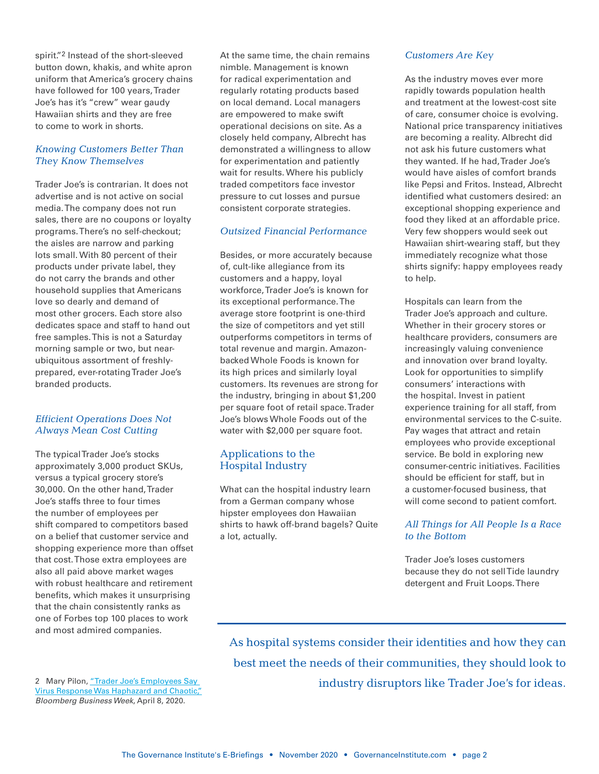spirit."2 Instead of the short-sleeved button down, khakis, and white apron uniform that America's grocery chains have followed for 100 years, Trader Joe's has it's "crew" wear gaudy Hawaiian shirts and they are free to come to work in shorts.

#### *Knowing Customers Better Than They Know Themselves*

Trader Joe's is contrarian. It does not advertise and is not active on social media. The company does not run sales, there are no coupons or loyalty programs. There's no self-checkout; the aisles are narrow and parking lots small. With 80 percent of their products under private label, they do not carry the brands and other household supplies that Americans love so dearly and demand of most other grocers. Each store also dedicates space and staff to hand out free samples. This is not a Saturday morning sample or two, but nearubiquitous assortment of freshlyprepared, ever-rotating Trader Joe's branded products.

#### *Efficient Operations Does Not Always Mean Cost Cutting*

The typical Trader Joe's stocks approximately 3,000 product SKUs, versus a typical grocery store's 30,000. On the other hand, Trader Joe's staffs three to four times the number of employees per shift compared to competitors based on a belief that customer service and shopping experience more than offset that cost. Those extra employees are also all paid above market wages with robust healthcare and retirement benefits, which makes it unsurprising that the chain consistently ranks as one of Forbes top 100 places to work and most admired companies.

2 Mary Pilon, "Trader Joe's Employees Say [Virus Response Was Haphazard and Chaotic,"](http://www.bloomberg.com/news/features/2020-04-08/trader-joe-s-employees-say-virus-response-was-haphazard-chaotic) *Bloomberg Business Week*, April 8, 2020.

At the same time, the chain remains nimble. Management is known for radical experimentation and regularly rotating products based on local demand. Local managers are empowered to make swift operational decisions on site. As a closely held company, Albrecht has demonstrated a willingness to allow for experimentation and patiently wait for results. Where his publicly traded competitors face investor pressure to cut losses and pursue consistent corporate strategies.

#### *Outsized Financial Performance*

Besides, or more accurately because of, cult-like allegiance from its customers and a happy, loyal workforce, Trader Joe's is known for its exceptional performance. The average store footprint is one-third the size of competitors and yet still outperforms competitors in terms of total revenue and margin. Amazonbacked Whole Foods is known for its high prices and similarly loyal customers. Its revenues are strong for the industry, bringing in about \$1,200 per square foot of retail space. Trader Joe's blows Whole Foods out of the water with \$2,000 per square foot.

#### Applications to the Hospital Industry

What can the hospital industry learn from a German company whose hipster employees don Hawaiian shirts to hawk off-brand bagels? Quite a lot, actually.

#### *Customers Are Key*

As the industry moves ever more rapidly towards population health and treatment at the lowest-cost site of care, consumer choice is evolving. National price transparency initiatives are becoming a reality. Albrecht did not ask his future customers what they wanted. If he had, Trader Joe's would have aisles of comfort brands like Pepsi and Fritos. Instead, Albrecht identified what customers desired: an exceptional shopping experience and food they liked at an affordable price. Very few shoppers would seek out Hawaiian shirt-wearing staff, but they immediately recognize what those shirts signify: happy employees ready to help.

Hospitals can learn from the Trader Joe's approach and culture. Whether in their grocery stores or healthcare providers, consumers are increasingly valuing convenience and innovation over brand loyalty. Look for opportunities to simplify consumers' interactions with the hospital. Invest in patient experience training for all staff, from environmental services to the C-suite. Pay wages that attract and retain employees who provide exceptional service. Be bold in exploring new consumer-centric initiatives. Facilities should be efficient for staff, but in a customer-focused business, that will come second to patient comfort.

#### *All Things for All People Is a Race to the Bottom*

Trader Joe's loses customers because they do not sell Tide laundry detergent and Fruit Loops. There

As hospital systems consider their identities and how they can best meet the needs of their communities, they should look to industry disruptors like Trader Joe's for ideas.